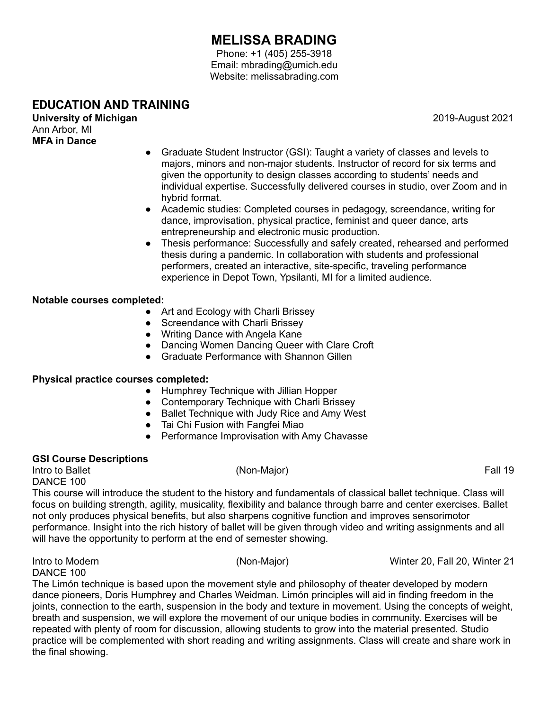# **MELISSA BRADING**

Phone: +1 (405) 255-3918 Email: mbrading@umich.edu Website: melissabrading.com

## **EDUCATION AND TRAINING**

**University of Michigan** 2019-August 2021 Ann Arbor, MI **MFA in Dance**

- Graduate Student Instructor (GSI): Taught a variety of classes and levels to majors, minors and non-major students. Instructor of record for six terms and given the opportunity to design classes according to students' needs and individual expertise. Successfully delivered courses in studio, over Zoom and in hybrid format.
- Academic studies: Completed courses in pedagogy, screendance, writing for dance, improvisation, physical practice, feminist and queer dance, arts entrepreneurship and electronic music production.
- Thesis performance: Successfully and safely created, rehearsed and performed thesis during a pandemic. In collaboration with students and professional performers, created an interactive, site-specific, traveling performance experience in Depot Town, Ypsilanti, MI for a limited audience.

#### **Notable courses completed:**

- Art and Ecology with Charli Brissey
- Screendance with Charli Brissey
- Writing Dance with Angela Kane
- Dancing Women Dancing Queer with Clare Croft
- Graduate Performance with Shannon Gillen

#### **Physical practice courses completed:**

- Humphrey Technique with Jillian Hopper
- Contemporary Technique with Charli Brissey
- Ballet Technique with Judy Rice and Amy West
- Tai Chi Fusion with Fangfei Miao
- Performance Improvisation with Amy Chavasse

### **GSI Course Descriptions**

Intro to Ballet **Fall 19** (Non-Major) **Fall 19** (Non-Major) **Fall 19** DANCE 100

This course will introduce the student to the history and fundamentals of classical ballet technique. Class will focus on building strength, agility, musicality, flexibility and balance through barre and center exercises. Ballet not only produces physical benefits, but also sharpens cognitive function and improves sensorimotor performance. Insight into the rich history of ballet will be given through video and writing assignments and all will have the opportunity to perform at the end of semester showing.

DANCE 100

Intro to Modern (Non-Major) Winter 20, Fall 20, Winter 21

The Limón technique is based upon the movement style and philosophy of theater developed by modern dance pioneers, Doris Humphrey and Charles Weidman. Limón principles will aid in finding freedom in the joints, connection to the earth, suspension in the body and texture in movement. Using the concepts of weight, breath and suspension, we will explore the movement of our unique bodies in community. Exercises will be repeated with plenty of room for discussion, allowing students to grow into the material presented. Studio practice will be complemented with short reading and writing assignments. Class will create and share work in the final showing.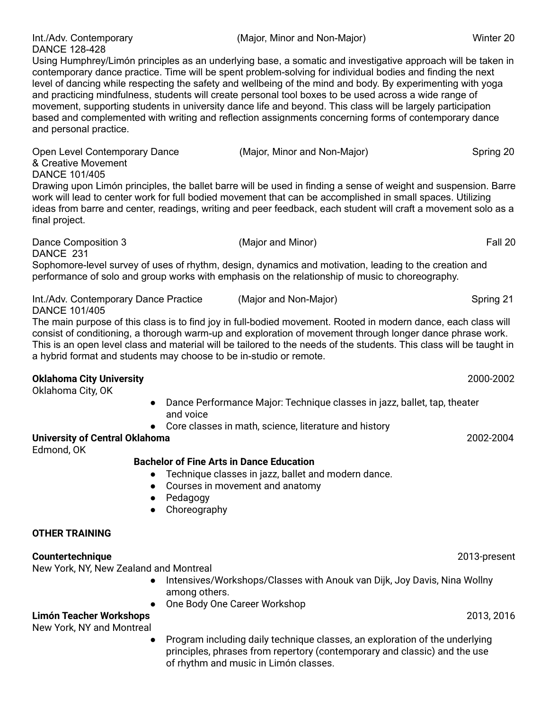DANCE 128-428 Using Humphrey/Limón principles as an underlying base, a somatic and investigative approach will be taken in contemporary dance practice. Time will be spent problem-solving for individual bodies and finding the next level of dancing while respecting the safety and wellbeing of the mind and body. By experimenting with yoga and practicing mindfulness, students will create personal tool boxes to be used across a wide range of movement, supporting students in university dance life and beyond. This class will be largely participation based and complemented with writing and reflection assignments concerning forms of contemporary dance and personal practice.

Open Level Contemporary Dance (Major, Minor and Non-Major) Spring 20 & Creative Movement DANCE 101/405 Drawing upon Limón principles, the ballet barre will be used in finding a sense of weight and suspension. Barre work will lead to center work for full bodied movement that can be accomplished in small spaces. Utilizing ideas from barre and center, readings, writing and peer feedback, each student will craft a movement solo as a final project.

DANCE 231 Sophomore-level survey of uses of rhythm, design, dynamics and motivation, leading to the creation and performance of solo and group works with emphasis on the relationship of music to choreography.

Int./Adv. Contemporary Dance Practice (Major and Non-Major) Spring 21 DANCE 101/405

The main purpose of this class is to find joy in full-bodied movement. Rooted in modern dance, each class will consist of conditioning, a thorough warm-up and exploration of movement through longer dance phrase work. This is an open level class and material will be tailored to the needs of the students. This class will be taught in a hybrid format and students may choose to be in-studio or remote.

## **Oklahoma City University** 2000-2002

Oklahoma City, OK

- Dance Performance Major: Technique classes in jazz, ballet, tap, theater and voice
- Core classes in math, science, literature and history

## **University of Central Oklahoma** 2002-2004

Edmond, OK

## **Bachelor of Fine Arts in Dance Education**

- Technique classes in jazz, ballet and modern dance.
- Courses in movement and anatomy
- Pedagogy
- Choreography

## **OTHER TRAINING**

## **Countertechnique** 2013-present

New York, NY, New Zealand and Montreal

- Intensives/Workshops/Classes with Anouk van Dijk, Joy Davis, Nina Wollny among others.
	- One Body One Career Workshop

## **Limón Teacher Workshops** 2013, 2016

New York, NY and Montreal

● Program including daily technique classes, an exploration of the underlying principles, phrases from repertory (contemporary and classic) and the use of rhythm and music in Limón classes.

Dance Composition 3 **Easily 1 and Minor** (Major and Minor) **Fall 20 Fall 20**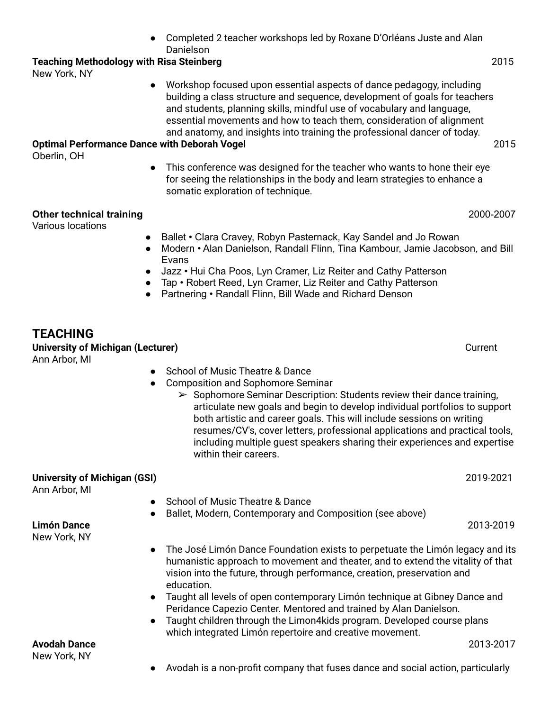Completed 2 teacher workshops led by Roxane D'Orléans Juste and Alan Danielson

#### **Teaching Methodology with Risa Steinberg** 2015

New York, NY

Workshop focused upon essential aspects of dance pedagogy, including building a class structure and sequence, development of goals for teachers and students, planning skills, mindful use of vocabulary and language, essential movements and how to teach them, consideration of alignment and anatomy, and insights into training the professional dancer of today.

#### **Optimal Performance Dance with Deborah Vogel** 2015

Oberlin, OH

● This conference was designed for the teacher who wants to hone their eye for seeing the relationships in the body and learn strategies to enhance a somatic exploration of technique.

#### **Other technical training** 2000-2007

Various locations

- Ballet Clara Cravey, Robyn Pasternack, Kay Sandel and Jo Rowan
- Modern Alan Danielson, Randall Flinn, Tina Kambour, Jamie Jacobson, and Bill Evans
- Jazz Hui Cha Poos, Lyn Cramer, Liz Reiter and Cathy Patterson
- Tap Robert Reed, Lyn Cramer, Liz Reiter and Cathy Patterson
- Partnering Randall Flinn, Bill Wade and Richard Denson

## **TEACHING**

**University of Michigan (Lecturer)** Current

Ann Arbor, MI

- School of Music Theatre & Dance
- Composition and Sophomore Seminar
	- $\triangleright$  Sophomore Seminar Description: Students review their dance training, articulate new goals and begin to develop individual portfolios to support both artistic and career goals. This will include sessions on writing resumes/CV's, cover letters, professional applications and practical tools, including multiple guest speakers sharing their experiences and expertise within their careers.

| 2019-2021                                                                                                                                                                                                                                                                                                                               |
|-----------------------------------------------------------------------------------------------------------------------------------------------------------------------------------------------------------------------------------------------------------------------------------------------------------------------------------------|
| <b>School of Music Theatre &amp; Dance</b>                                                                                                                                                                                                                                                                                              |
| Ballet, Modern, Contemporary and Composition (see above)                                                                                                                                                                                                                                                                                |
| 2013-2019                                                                                                                                                                                                                                                                                                                               |
| The José Limón Dance Foundation exists to perpetuate the Limón legacy and its<br>humanistic approach to movement and theater, and to extend the vitality of that<br>vision into the future, through performance, creation, preservation and<br>education.<br>Taught all levels of onen contemporary Limón technique at Gihney Dance and |
|                                                                                                                                                                                                                                                                                                                                         |

- Taught all levels of open contemporary Limón technique at Gibney Dance and Peridance Capezio Center. Mentored and trained by Alan Danielson.
- Taught children through the Limon4kids program. Developed course plans which integrated Limón repertoire and creative movement.

**Avodah Dance** 2013-2017 New York, NY

Avodah is a non-profit company that fuses dance and social action, particularly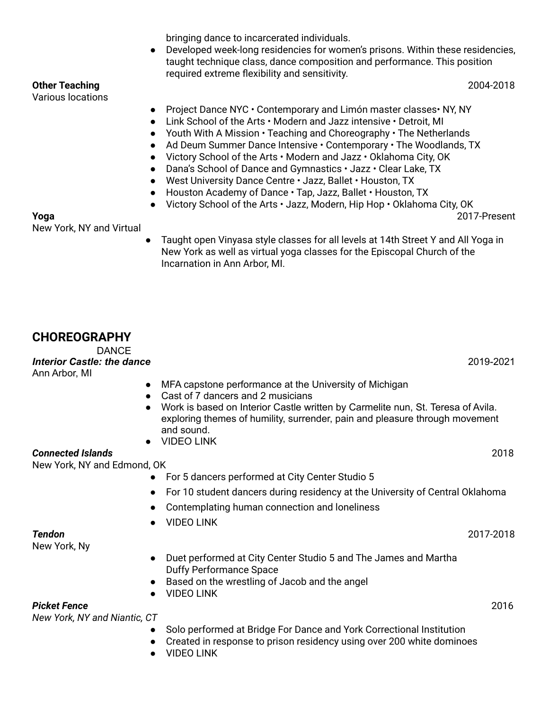bringing dance to incarcerated individuals.

● Developed week-long residencies for women's prisons. Within these residencies, taught technique class, dance composition and performance. This position required extreme flexibility and sensitivity.

**Other Teaching** 2004-2018

- Project Dance NYC Contemporary and Limón master classes NY, NY
- Link School of the Arts Modern and Jazz intensive Detroit, MI
- Youth With A Mission Teaching and Choreography The Netherlands
- Ad Deum Summer Dance Intensive Contemporary The Woodlands, TX
- Victory School of the Arts Modern and Jazz Oklahoma City, OK
- Dana's School of Dance and Gymnastics Jazz Clear Lake, TX
- West University Dance Centre Jazz, Ballet Houston, TX
- Houston Academy of Dance Tap, Jazz, Ballet Houston, TX
- Victory School of the Arts Jazz, Modern, Hip Hop Oklahoma City, OK

**Yoga** 2017-Present

New York, NY and Virtual

Various locations

Taught open Vinyasa style classes for all levels at 14th Street Y and All Yoga in New York as well as virtual yoga classes for the Episcopal Church of the Incarnation in Ann Arbor, MI.

## **CHOREOGRAPHY**

DANCE

*Interior Castle: the dance* 2019-2021 Ann Arbor, MI

- MFA capstone performance at the University of Michigan
- Cast of 7 dancers and 2 musicians
- Work is based on Interior Castle written by Carmelite nun, St. Teresa of Avila. exploring themes of humility, surrender, pain and pleasure through movement and sound.
- [VIDEO](https://vimeo.com/557033017) LINK

#### *Connected Islands* 2018

New York, NY and Edmond, OK

- For 5 dancers performed at City Center Studio 5
- For 10 student dancers during residency at the University of Central Oklahoma
- Contemplating human connection and loneliness
- [VIDEO](https://vimeo.com/332007768) LINK

New York, Ny

- Duet performed at City Center Studio 5 and The James and Martha Duffy Performance Space
- Based on the wrestling of Jacob and the angel
	- **[VIDEO](https://vimeo.com/211422543) LINK**

#### *Picket Fence* 2016

*New York, NY and Niantic, CT*

- Solo performed at Bridge For Dance and York Correctional Institution
- Created in response to prison residency using over 200 white dominoes
- [VIDEO](https://vimeo.com/144889239) LINK

*Tendon* 2017-2018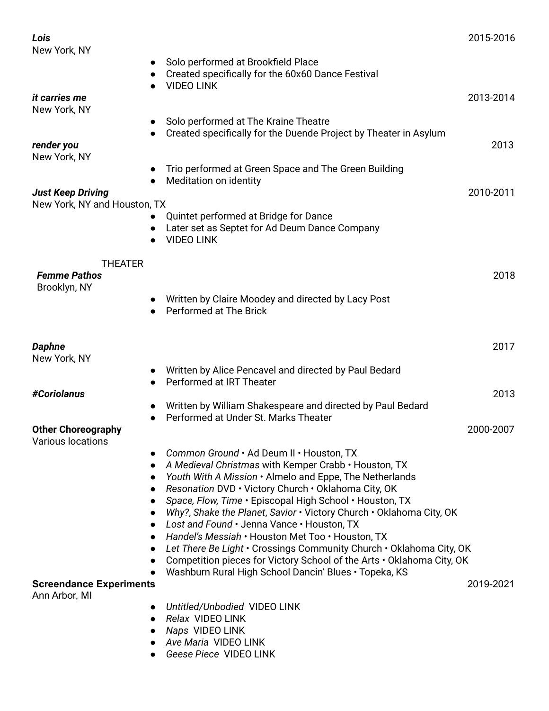| Lois                                                     |                                                                                                                | 2015-2016 |
|----------------------------------------------------------|----------------------------------------------------------------------------------------------------------------|-----------|
| New York, NY                                             | Solo performed at Brookfield Place                                                                             |           |
|                                                          | Created specifically for the 60x60 Dance Festival<br><b>VIDEO LINK</b>                                         |           |
| it carries me                                            |                                                                                                                | 2013-2014 |
| New York, NY                                             |                                                                                                                |           |
|                                                          | Solo performed at The Kraine Theatre<br>Created specifically for the Duende Project by Theater in Asylum       |           |
| render you<br>New York, NY                               |                                                                                                                | 2013      |
|                                                          | Trio performed at Green Space and The Green Building<br>Meditation on identity                                 |           |
| <b>Just Keep Driving</b><br>New York, NY and Houston, TX |                                                                                                                | 2010-2011 |
|                                                          | Quintet performed at Bridge for Dance                                                                          |           |
|                                                          | Later set as Septet for Ad Deum Dance Company<br><b>VIDEO LINK</b>                                             |           |
|                                                          |                                                                                                                |           |
| <b>THEATER</b><br><b>Femme Pathos</b><br>Brooklyn, NY    |                                                                                                                | 2018      |
|                                                          | Written by Claire Moodey and directed by Lacy Post<br>Performed at The Brick                                   |           |
|                                                          |                                                                                                                |           |
| <b>Daphne</b><br>New York, NY                            |                                                                                                                | 2017      |
|                                                          | Written by Alice Pencavel and directed by Paul Bedard                                                          |           |
|                                                          | Performed at IRT Theater<br>$\bullet$                                                                          |           |
| #Coriolanus                                              | Written by William Shakespeare and directed by Paul Bedard                                                     | 2013      |
|                                                          | Performed at Under St. Marks Theater                                                                           |           |
| <b>Other Choreography</b><br>Various locations           |                                                                                                                | 2000-2007 |
|                                                          | Common Ground . Ad Deum II . Houston, TX                                                                       |           |
|                                                          | A Medieval Christmas with Kemper Crabb · Houston, TX                                                           |           |
|                                                          | Youth With A Mission . Almelo and Eppe, The Netherlands<br>Resonation DVD · Victory Church · Oklahoma City, OK |           |
|                                                          | Space, Flow, Time . Episcopal High School . Houston, TX                                                        |           |
|                                                          | Why?, Shake the Planet, Savior . Victory Church . Oklahoma City, OK                                            |           |
|                                                          | Lost and Found · Jenna Vance · Houston, TX                                                                     |           |
|                                                          | Handel's Messiah · Houston Met Too · Houston, TX                                                               |           |
|                                                          | Let There Be Light • Crossings Community Church • Oklahoma City, OK                                            |           |
|                                                          | Competition pieces for Victory School of the Arts . Oklahoma City, OK                                          |           |
| <b>Screendance Experiments</b>                           | Washburn Rural High School Dancin' Blues . Topeka, KS                                                          | 2019-2021 |
| Ann Arbor, MI                                            |                                                                                                                |           |
|                                                          | Untitled/Unbodied VIDEO LINK                                                                                   |           |
|                                                          | Relax VIDEO LINK                                                                                               |           |
|                                                          | Naps VIDEO LINK                                                                                                |           |
|                                                          | Ave Maria VIDEO LINK                                                                                           |           |
|                                                          | Geese Piece VIDEO LINK                                                                                         |           |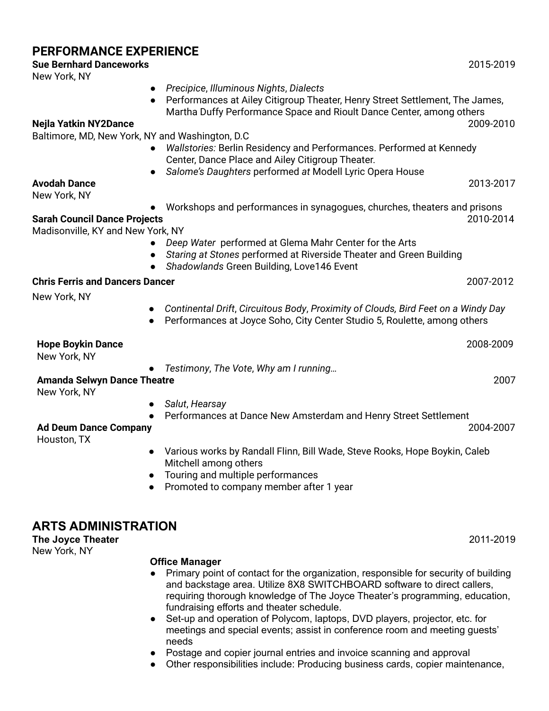## **PERFORMANCE EXPERIENCE Sue Bernhard Danceworks** 2015-2019 New York, NY *● Precipice*, *Illuminous Nights*, *Dialects* Performances at Ailey Citigroup Theater, Henry Street Settlement, The James, Martha Duffy Performance Space and Rioult Dance Center, among others **Nejla Yatkin NY2Dance** 2009-2010 Baltimore, MD, New York, NY and Washington, D.C ● *Wallstories:* Berlin Residency and Performances. Performed at Kennedy Center, Dance Place and Ailey Citigroup Theater. ● *Salome's Daughters* performed *at* Modell Lyric Opera House **Avodah Dance** 2013-2017 New York, NY ● Workshops and performances in synagogues, churches, theaters and prisons **Sarah Council Dance Projects** 2010-2014 Madisonville, KY and New York, NY ● *Deep Water* performed at Glema Mahr Center for the Arts ● *Staring at Stones* performed at Riverside Theater and Green Building ● *Shadowlands* Green Building, Love146 Event **Chris Ferris and Dancers Dancer** 2007-2012 New York, NY *● Continental Drift*, *Circuitous Body*, *Proximity of Clouds, Bird Feet on a Windy Day* ● Performances at Joyce Soho, City Center Studio 5, Roulette, among others **Hope Boykin Dance** 2008-2009 New York, NY *● Testimony*, *The Vote*, *Why am I running…* **Amanda Selwyn Dance Theatre** 2007 New York, NY *● Salut*, *Hearsay* ● Performances at Dance New Amsterdam and Henry Street Settlement **Ad Deum Dance Company** 2004-2007 Houston, TX ● Various works by Randall Flinn, Bill Wade, Steve Rooks, Hope Boykin, Caleb Mitchell among others ● Touring and multiple performances ● Promoted to company member after 1 year **ARTS ADMINISTRATION The Joyce Theater** 2011-2019

New York, NY

## **Office Manager**

- Primary point of contact for the organization, responsible for security of building and backstage area. Utilize 8X8 SWITCHBOARD software to direct callers, requiring thorough knowledge of The Joyce Theater's programming, education, fundraising efforts and theater schedule.
- Set-up and operation of Polycom, laptops, DVD players, projector, etc. for meetings and special events; assist in conference room and meeting guests' needs
- Postage and copier journal entries and invoice scanning and approval
- Other responsibilities include: Producing business cards, copier maintenance,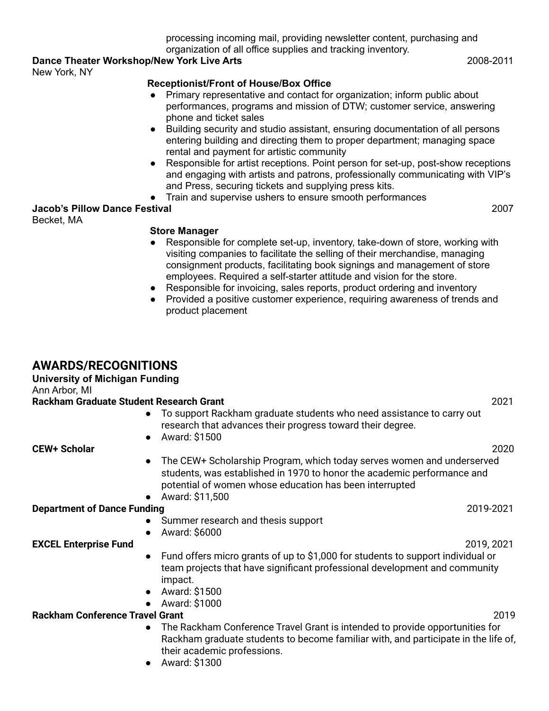processing incoming mail, providing newsletter content, purchasing and organization of all office supplies and tracking inventory.

## **Dance Theater Workshop/New York Live Arts** 2008-2011

New York, NY

### **Receptionist/Front of House/Box Office**

- Primary representative and contact for organization; inform public about performances, programs and mission of DTW; customer service, answering phone and ticket sales
- Building security and studio assistant, ensuring documentation of all persons entering building and directing them to proper department; managing space rental and payment for artistic community
- Responsible for artist receptions. Point person for set-up, post-show receptions and engaging with artists and patrons, professionally communicating with VIP's and Press, securing tickets and supplying press kits.
- Train and supervise ushers to ensure smooth performances

#### **Jacob's Pillow Dance Festival** 2007 Becket, MA

#### **Store Manager**

- Responsible for complete set-up, inventory, take-down of store, working with visiting companies to facilitate the selling of their merchandise, managing consignment products, facilitating book signings and management of store employees. Required a self-starter attitude and vision for the store.
- Responsible for invoicing, sales reports, product ordering and inventory
- Provided a positive customer experience, requiring awareness of trends and product placement

## **AWARDS/RECOGNITIONS**

#### **University of Michigan Funding**

Ann Arbor, MI

#### **Rackham Graduate Student Research Grant** 2021

- To support Rackham graduate students who need assistance to carry out research that advances their progress toward their degree.
- Award: \$1500

**CEW+ Scholar** 2020

- The CEW+ Scholarship Program, which today serves women and underserved students, was established in 1970 to honor the academic performance and potential of women whose education has been interrupted
- Award: \$11,500

### **Department of Dance Funding 2019-2021**

- Summer research and thesis support
- Award: \$6000

#### **EXCEL Enterprise Fund** 2019, 2021

- Fund offers micro grants of up to \$1,000 for students to support individual or team projects that have significant professional development and community impact.
- Award: \$1500
- Award: \$1000

### **Rackham Conference Travel Grant** 2019

- The Rackham Conference Travel Grant is intended to provide opportunities for Rackham graduate students to become familiar with, and participate in the life of, their academic professions.
- Award: \$1300